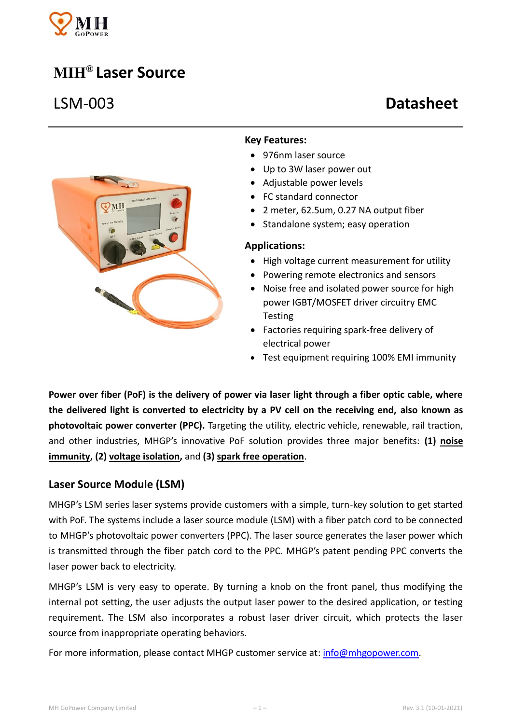

# **MIH® Laser Source**



#### **Key Features:**

- 976nm laser source
- Up to 3W laser power out
- Adjustable power levels
- FC standard connector
- 2 meter, 62.5um, 0.27 NA output fiber
- Standalone system; easy operation

#### **Applications:**

- High voltage current measurement for utility
- Powering remote electronics and sensors
- Noise free and isolated power source for high power IGBT/MOSFET driver circuitry EMC **Testing**
- Factories requiring spark-free delivery of electrical power
- Test equipment requiring 100% EMI immunity

**Power over fiber (PoF) is the delivery of power via laser light through a fiber optic cable, where the delivered light is converted to electricity by a PV cell on the receiving end, also known as photovoltaic power converter (PPC).** Targeting the utility, electric vehicle, renewable, rail traction, and other industries, MHGP's innovative PoF solution provides three major benefits: **(1) noise immunity, (2) voltage isolation,** and **(3) spark free operation**.

## **Laser Source Module (LSM)**

MHGP's LSM series laser systems provide customers with a simple, turn-key solution to get started with PoF. The systems include a laser source module (LSM) with a fiber patch cord to be connected to MHGP's photovoltaic power converters (PPC). The laser source generates the laser power which is transmitted through the fiber patch cord to the PPC. MHGP's patent pending PPC converts the laser power back to electricity.

MHGP's LSM is very easy to operate. By turning a knob on the front panel, thus modifying the internal pot setting, the user adjusts the output laser power to the desired application, or testing requirement. The LSM also incorporates a robust laser driver circuit, which protects the laser source from inappropriate operating behaviors.

For more information, please contact MHGP customer service at[: info@mhgopower.com.](mailto:info@mhgopower.com)